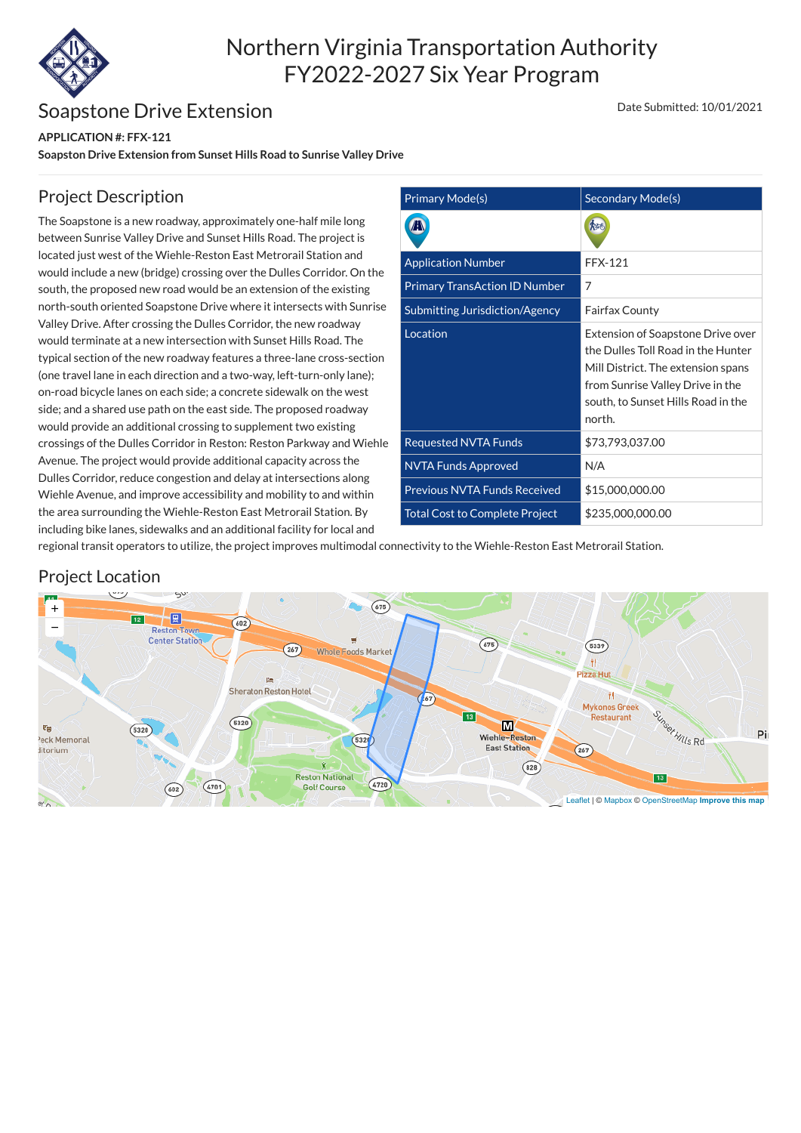

# Northern Virginia Transportation Authority FY2022-2027 Six Year Program

## Soapstone Drive Extension

**APPLICATION #: FFX-121**

**Soapston Drive Extension from Sunset Hills Road to Sunrise Valley Drive**

### Date Submitted: 10/01/2021

| <b>Primary Mode(s)</b>                | Secondary Mode(s)                                                                                                                                                                                        |
|---------------------------------------|----------------------------------------------------------------------------------------------------------------------------------------------------------------------------------------------------------|
|                                       |                                                                                                                                                                                                          |
| <b>Application Number</b>             | <b>FFX-121</b>                                                                                                                                                                                           |
| <b>Primary TransAction ID Number</b>  | 7                                                                                                                                                                                                        |
| Submitting Jurisdiction/Agency        | <b>Fairfax County</b>                                                                                                                                                                                    |
| Location                              | <b>Extension of Soapstone Drive over</b><br>the Dulles Toll Road in the Hunter<br>Mill District. The extension spans<br>from Sunrise Valley Drive in the<br>south, to Sunset Hills Road in the<br>north. |
| <b>Requested NVTA Funds</b>           | \$73,793,037.00                                                                                                                                                                                          |
| <b>NVTA Funds Approved</b>            | N/A                                                                                                                                                                                                      |
| <b>Previous NVTA Funds Received</b>   | \$15,000,000.00                                                                                                                                                                                          |
| <b>Total Cost to Complete Project</b> | \$235,000,000.00                                                                                                                                                                                         |

## Project Description

The Soapstone is a new roadway, approximately one-half mile long between Sunrise Valley Drive and Sunset Hills Road. The project is located just west of the Wiehle-Reston East Metrorail Station and would include a new (bridge) crossing over the Dulles Corridor. On the south, the proposed new road would be an extension of the existing north-south oriented Soapstone Drive where it intersects with Sunrise Valley Drive. After crossing the Dulles Corridor, the new roadway would terminate at a new intersection with Sunset Hills Road. The typical section of the new roadway features a three-lane cross-section (one travel lane in each direction and a two-way, left-turn-only lane); on-road bicycle lanes on each side; a concrete sidewalk on the west side; and a shared use path on the east side. The proposed roadway would provide an additional crossing to supplement two existing crossings of the Dulles Corridor in Reston: Reston Parkway and Wiehle Avenue. The project would provide additional capacity across the Dulles Corridor, reduce congestion and delay at intersections along Wiehle Avenue, and improve accessibility and mobility to and within the area surrounding the Wiehle-Reston East Metrorail Station. By including bike lanes, sidewalks and an additional facility for local and

regional transit operators to utilize, the project improves multimodal connectivity to the Wiehle-Reston East Metrorail Station.

#### Υn  $(675)$ + 圓  $12$  $602)$ − **Reston Town Center Station**  $(675)$  $(5339)$  $267$ **Whole Foods Market** Ħ **Pizza Hut Sheraton Reston Hotel** ŤĪ.  $\sqrt{37}$ **Mykonos Greek** Sunset Hills Rd  $13$ Restaurant  $(5320)$ M ξġ Pi Wiehle-Reston 5320 eck Memorial **East Station**  $(267)$ litorium  $(828)$ **Reston National**  $(4720)$ 4701 **Golf Course**  $(602)$ [Leaflet](https://leafletjs.com/) | © [Mapbox](https://www.mapbox.com/about/maps/) © [OpenStreetMap](http://www.openstreetmap.org/copyright) **[Improve this map](https://www.mapbox.com/map-feedback/)** $9/$

## Project Location